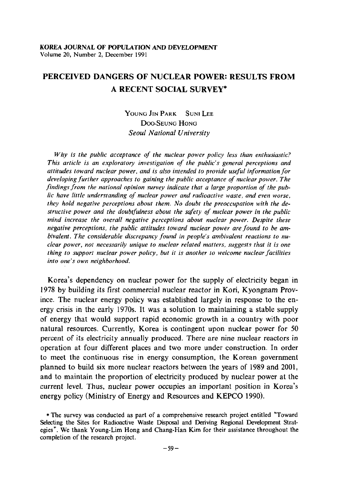# PERCEIVED DANGERS OF NUCLEAR POWER: RESULTS FROM A RECENT SOCIAL SURVEY·

## YOUNG JIN PARK SUNI LEE DOO-SEUNG HONG *Seoul National University*

*Why* is *the public acceptance of the nuclear power policy less than enthusiastic? This article is an exploratory investigation of the public's general perceptions and attitudes toward nuclear power, and* is *also intended to provide useful iriformation/or developing further approaches to gaining the public acceptance of nuclear power\_ The findings from the national opinion survey indicate that a large proportion of the public have little understanding of nuclear power and radioactive waste, and even worse, they hold negative perceptions about them. No doubt the preoccupation with the destructive power and the doubtfulness about the safety of nuclear power in the public mind increase the overall negative perceptions about nuclear power. Despite these negative perceptions, the public attitudes toward nuclear power are found to be ambivalent. The considerable discrepancy found in people's ambivalent reactions to nuclear power, not necessarily unique to nuclear related matters, suggests that it is one thing to support nuclear power policy, but it is another to welcome nuclear facilities into one's own neighborhood.* 

Korea's dependency on nuclear power for the supply of electricity began in 1978 by building its first commercial nuclear reactor in Kori, Kyongnam Province. The nuclear energy policy was established largely in response to the energy crisis in the early 1970s. It was a solution to maintaining a stable supply of energy that would support rapid economic growth in a country with poor natural resources. Currently, Korea is contingent upon nuclear power for 50 percent of its electricity annually produced. There are nine nuclear reactors in operation at four different places and two more under construction. In order to meet the continuous rise in energy consumption, the Korean government planned to build six more nuclear reactors between the years of 1989 and 2001, and to maintain the proportion of dectricity produced by nuclear power at the current leveL Thus, nuclear power occupies an important position in Korea's energy policy (Ministry of Energy and Resources and KEPCO 1990).

<sup>\*</sup> The survey was conducted as part of a comprehensive research project entitled "Toward Selecting the Sites for Radioactive Waste Disposal and Deriving Regional Development Strategies". We thank Young-Lim Hong and Chang-Han Kim for their assistance throughout the completion of the research project.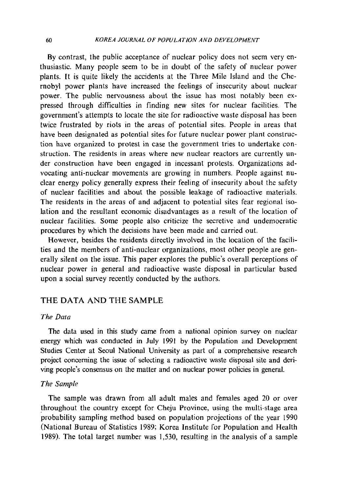By contrast, the public acceptance of nuclear policy does not seem very enthusiastic. Many people seem to be in doubt of the safety of nuclear power plants. It is quite likely the accidents at the Three Mile Island and the Chernobyl power plants have increased the feelings of insecurity about nuclear power. The public nervousness about the issue has most notably been expressed through difficulties in finding new sites for nuclear facilities. The government's attempts to locate the site for radioactive waste disposal has been twice frustrated by riots in the areas of potential sites. People in areas that have been designated as potential sites for future nuclear power plant construction have organized to protest in case the government tries to undertake construction. The residents in areas where new nuclear reactors are currently under construction have been engaged in incessant protests. Organizations advocating anti-nuclear movements are growing in numbers. People against nuclear energy policy generally express their feeling of insecurity about the safety of nuclear facilities and about the possible leakage of radioactive materials. The residents in the areas of and adjacent to potential sites fear regional isolation and the resultant economic disadvantages as a result of the location of nuclear facilities. Some people also criticize the secretive and undemocratic procedures by which the decisions have been made and carried out.

However, besides the residents directly involved in the location of the facilities and the members of anti-nuclear organizations, most other people are generally silent on the issue. This paper explores the public's overall perceptions of nuclear power in general and radioactive waste disposal in particular based upon a social survey recently conducted by the authors.

## THE DATA AND THE SAMPLE

### *The Data*

The data used in this study came from a national opinion survey on nuclear energy which was conducted in July 1991 by the Population and Development Studies Center at Seoul National University as part of a comprehensive research project concerning the issue of selecting a radioactive waste disposal site and deriving people's consensus on the matter and on nuclear power policies in general.

### *The Sample*

The sample was drawn from all adult males and females aged 20 or over throughout the country except for Cheju Province, using the multi-stage area probability sampling method based on population projections of the year 1990 (National Bureau of Statistics 1989; Korea Institute for Population and Health 1989). The total target number was 1,530, resulting in the analysis of a sample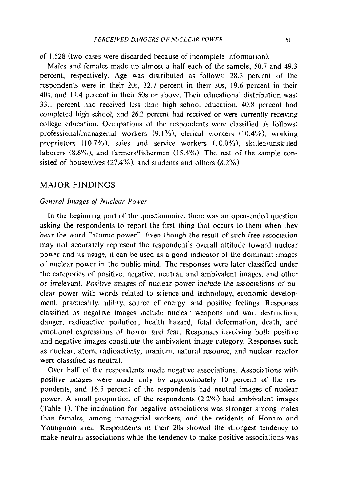of 1,528 (two cases were discarded because of incomplete information).

Males and females made up almost a half each of the sample, 50.7 and 49.3 percent, respectively. Age was distributed as follows: 28.3 percent of the respondents were in their 20s, 32.7 percent in their 30s, 19.6 percent in their 40s, and 19.4 percent in their 50s or above. Their educational distribution was: 33.1 percent had received less than high school education, 40.8 percent had completed high school, and 26.2 percent had received or were currently receiving college education. Occupations of the respondents were classified as follows: professional/managerial workers  $(9.1\%)$ , clerical workers  $(10.4\%)$ , working proprietors  $(10.7\%)$ , sales and service workers  $(10.0\%)$ , skilled/unskilled laborers  $(8.6\%)$ , and farmers/fishermen  $(15.4\%)$ . The rest of the sample consisted of housewives (27.4%), and students and others (8.2%).

## MAJOR FINDINGS

#### *General Images of Nuclear Power*

**In** the beginning part of the questionnaire, there was an open-ended question asking the respondents to report the first thing that occurs to them when they hear the word "atomic power". Even though the result of such free association may not accurately represent the respondent's overall attitude toward nuclear power and its usage, it can be used as a good indicator of the dominant images of nuclear power in the public mind. The responses were later classified under the categories of positive, negative, neutral, and ambivalent images, and other or irrelevant. Positive images of nuclear power include the associations of nuclear power with words related to science and technology, economic development, practicality, utility, source of energy, and positive feelings. Responses classified as negative images include nuclear weapons and war, destruction, danger, radioactive pollution, health hazard, fetal deformation, death, and emotional expressions of horror and fear. Responses involving both positive and negative images constitute the ambivalent image category. Responses such as nuclear, atom, radioactivity, uranium, natural resource, and nuclear reactor were classified as neutral.

Over half of the respondents made negative associations. Associations with positive images were made only by approximately IO percent of the respondents, and 16.5 percent of the respondents had neutral images of nuclear power. A small proportion of the respondents (2.2%) had ambivalent images (Table I). The inclination for negative associations was stronger among males than females, among managerial workers, and the residents of Honam and Youngnam area. Respondents in their 20s showed the strongest tendency to make neutral associations while the tendency to make positive associations was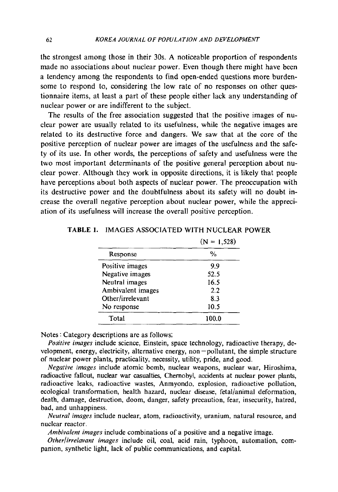the strongest among those in their 30s. A noticeable proportion of respondents made no associations about nuclear power. Even though there might have been a tendency among the respondents to find open-ended questions more burdensome to respond to, considering the low rate of no responses on other questionnaire items, at least a part of these people either lack any understanding of nuclear power or are indifferent to the subject.

The results of the free association suggested that the positive images of nuclear power are usually related to its usefulness, while the negative images are related to its destructive force and dangers. We saw that at the core of the positive perception of nuclear power are images of the usefulness and the safety of its use. In other words, the perceptions of safety and usefulness were the two most important determinants of the positive general perception about nuclear power. Although they work in opposite directions, it is likely that people have perceptions about both aspects of nuclear power. The preoccupation with its destructive power and the doubtfulness about its safety will no doubt increase the overall negative perception about nuclear power, while the appreciation of its usefulness will increase the overall positive perception.

|                   | $(N = 1,528)$ |
|-------------------|---------------|
| Response          | %             |
| Positive images   | 99            |
| Negative images   | 52.5          |
| Neutral images    | 16.5          |
| Ambivalent images | 2.2           |
| Other/irrelevant  | 8.3           |
| No response       | 10.5          |
| Total             | 100.0         |

#### TABLE I. IMAGES ASSOCIATED WITH NUCLEAR POWER

Notes: Category descriptions are as follows;

*Positive images* include science, Einstein, space technology, radioactive therapy, de $v$ elopment, energy, electricity, alternative energy, non  $-p$ ollutant, the simple structure of nuclear power plants, practicality, necessity, utility, pride, and good.

*Negative images* include atomic bomb, nuclear weapons, nuclear war, Hiroshima, radioactive fallout, nuclear war casualties, Chemobyl, accidents at nuclear power plants, radioactive leaks, radioactive wastes, Anmyondo, explosion, radioactive pollution, ecological transformation, health hazard, nuclear disease, fetal/animal deformation, death, damage, destruction, doom, danger, safety precaution, fear, insecurity, hatred, bad, and unhappiness.

*Neutral images* include nuclear, atom, radioactivity, uranium, natural resource, and nuclear reactor.

*Ambivalent images* include combinations of a positive and a negative image.

*Other/;rrelavant images* include oil, coal, acid rain, typhoon, automation, companion, synthetic light, lack of public communications, and capital.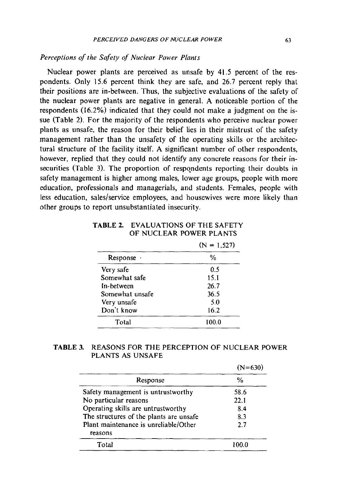#### *Perceptions 0/ the Safety 0/ Nuclear Power Plants*

Nuclear power plants are perceived as unsafe by 41.5 percent of the respondents. Only 15.6 percent think they are safe, and 26.7 percent reply that their positions are in-between. Thus, the subjective evaluations of the safety of the nuclear power plants are negative in general. A noticeable portion of the respondents (16.2%) indicated that they could not make a judgment on the issue (Table 2). For the majority of the respondents who perceive nuciear power plants as unsafe, the reason for their belief lies in their mistrust of the safety management rather than the unsafety of the operating skills or the architectural structure of the facility itself. A significant number of other respondents, however, replied that they could not identify any concrete reasons for their insecurities (Table 3). The proportion of respondents reporting their doubts in safety management is higher among males, lower age groups, people with more education, professionals and managerials, and students. Females, people with less education, sales/service employees, and housewives were more likely than other groups to report unsubstantiated insecurity.

|                 | $(N = 1, 527)$ |
|-----------------|----------------|
| Response ·      | %              |
| Very safe       | 0.5            |
| Somewhat safe   | 15.1           |
| In-between      | 26.7           |
| Somewhat unsafe | 36.5           |
| Very unsafe     | 5.0            |
| Don't know      | 16.2           |
| Total           | 100.0          |

**TABLE** 2. EVALUATIONS OF THE SAFETY OF NUCLEAR POWER PLANTS

#### **TABLE** 3. REASONS FOR THE PERCEPTION OF NUCLEAR POWER PLANTS AS UNSAFE

| Response                                         | $\frac{0}{n}$ |
|--------------------------------------------------|---------------|
| Safety management is untrustworthy               | 58.6          |
| No particular reasons                            | 22.1          |
| Operating skills are untrustworthy               | 8.4           |
| The structures of the plants are unsafe          | 8.3           |
| Plant maintenance is unreliable/Other<br>reasons | 27            |
| Total                                            | 100.0         |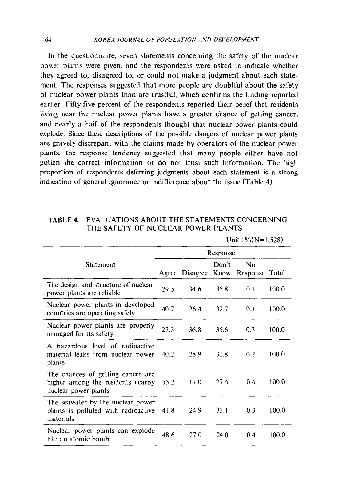In the questionnaire, seven statements concerning the safety of the nuclear power plants were given, and the respondents were asked to indicate whether they agreed to, disagreed to, or could not make a judgment about each statement. The responses suggested that more people are doubtful about the safety of nuclear power plants than are trustful, which ccnfirms the finding reported earlier. Fifty-five percent of the respondents reported their belief that residents living near the nuclear power plants have a greater chance of getting cancer; and nearly a half of the respondents thought that nuclear power plants could explode. Since these descriptions of the possible dangers of nuclear power plants are gravely discrepant with the claims made by operators of the nuclear power plants, the response tendency suggested that many people either have not gotten the correct information or do not trust such information. The high proportion of respondents deferring judgments about each statement is a strong indication of general ignorance or indifference about the issue (Table 4).

## **TABLE** 4. EVALUATIONS ABOUT THE STATEMENTS CONCERNING THE SAFETY OF NUCLEAR POWER PLANTS

|                                                                                                |          |               |       | <b>URB 70111</b>     | $\sim$ |
|------------------------------------------------------------------------------------------------|----------|---------------|-------|----------------------|--------|
|                                                                                                | Response |               |       |                      |        |
| Statement                                                                                      | Agree    | Disagree Know | Don't | No<br>Response Total |        |
| The design and structure of nuclear<br>power plants are reliable                               | 29.5     | 34.6          | 35.8  | 0.1                  | 100.0  |
| Nuclear power plants in developed<br>countries are operating safely                            | 40.7     | 26.4          | 32.7  | 0.1                  | 100.0  |
| Nuclear power plants are properly<br>managed for its safety                                    | 27.3     | 36.8          | 35.6  | 0.3                  | 100.0  |
| A hazardous level of radioactive<br>material leaks from nuclear power<br>plants                | 40.2     | 28.9          | 30.8  | 0.2                  | 100.0  |
| The chances of getting cancer are<br>higher among the residents nearby<br>nuclear power plants | 55.2     | 17.0          | 27.4  | 0.4                  | 100.0  |
| The seawater by the nuclear power<br>plants is polluted with radioactive<br>materials          | 41.8     | 24.9          | 33.1  | 0.3                  | 100.0  |
| Nuclear power plants can explode<br>like an atomic bomb                                        | 48.6     | 27.0          | 24.0  | 0.4                  | 100.0  |

Unit:  $\frac{0}{0}$ (N=1,528)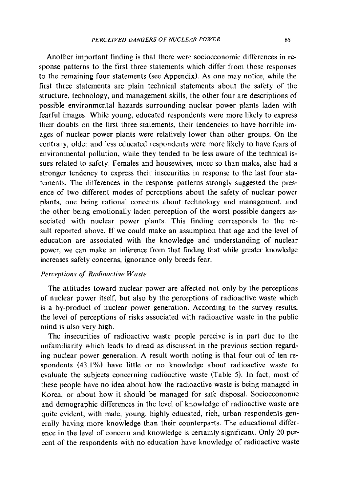Another important finding is that there were socioeconomic differences in response patterns to the first three statements which differ from those responses to the remaining four statements (see Appendix). As one may notice, while the first three statements are plain technical statements about the safety of the structure, technology, and management skills, the other four are descriptions of possible environmental hazards surrounding nuclear power plants laden with fearful images. While young, educated respondents were more likely to express their doubts on the first three statements, their tendencies to have horrible images of nuclear power plants were relatively lower than other groups. On the contrary, older and less educated respondents were more likely to have fears of environmental pollution, while they tended to be less aware of the technical issues related to safety. Females and housewives, more so than males, also had a stronger tendency to express their insecurities in response to the last four statements. The differences in the response patterns strongly suggested the presence of two different modes of perceptions about the safety of nuclear power plants, one being rational concerns about technology and management, and the other being emotionally laden perception of the worst possible dangers associated with nuclear power plants. This finding corresponds to the result reported above. If we could make an assumption that age and the level of education are associated with the knowledge and understanding of nuclear power, we can make an inference from that finding that while greater knowledge increases safety concerns, ignorance only breeds fear.

## *Perceptions of Radioactive Waste*

The attitudes toward nuclear power are affected not only by the perceptions of nuclear power itself, but also by the perceptions of radioactive waste which is a by-product of nuclear power generation. According to the survey results, the level of perceptions of risks associated with radioactive waste in the public mind is also very high.

The insecurities of radioactive waste people perceive is in part due to the unfamiliarity which leads to dread as discussed in the previous section regarding nuclear power generation. A result worth noting is that four out of ten respondents (43.1%) have little or no knowledge about radioactive waste to evaluate the subjects concerning radioactive waste (Table 5). In fact, most of these people have no idea about how the radioactive waste is being managed in Korea, or about how it should be managed for safe disposal. Socioeconomic and demographic differences in the level of knowledge of radioactive waste are quite evident, with male, young, highly educated, rich, urban respondents generally having more knowledge than their counterparts. The educational difference in the level of concern and knowledge is certainly significant. Only 20 percent of the respondents with no education have knowledge of radioactive waste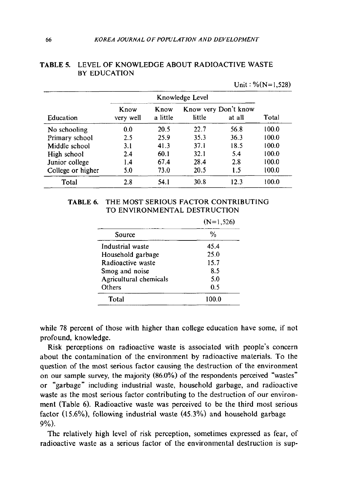|                   |                   |                  |                 |                                | Unit: $\%$ (N=1,528) |
|-------------------|-------------------|------------------|-----------------|--------------------------------|----------------------|
|                   |                   |                  | Knowledge Level |                                |                      |
| Education         | Know<br>very well | Know<br>a little | little          | Know very Don't know<br>at all | Total                |
| No schooling      | 0.0               | 20.5             | 22.7            | 56.8                           | 100.0                |
| Primary school    | 2.5               | 25.9             | 35.3            | 36.3                           | 100.0                |
| Middle school     | 3.1               | 41.3             | 37.1            | 18.5                           | 100.0                |
| High school       | 2.4               | 60.1             | 32.1            | 5.4                            | 100.0                |
| Junior college    | 1.4               | 67.4             | 28.4            | 2.8                            | 100.0                |
| College or higher | 5.0               | 73.0             | 20.5            | 1.5                            | 100.0                |
| Total             | 2.8               | 54.1             | 30.8            | 12.3                           | 100.0                |

## **TABLE** 5. LEVEL OF KNOWLEDGE ABOUT RADIOACTIVE WASTE BY EDUCATION

| TABLE 6. | THE MOST SERIOUS FACTOR CONTRIBUTING |
|----------|--------------------------------------|
|          | TO ENVIRONMENTAL DESTRUCTION         |

|                        | $(N=1,526)$ |
|------------------------|-------------|
| Source                 | %           |
| Industrial waste       | 45.4        |
| Household garbage      | 25.0        |
| Radioactive waste      | 15.7        |
| Smog and noise         | 8.5         |
| Agricultural chemicals | 5.0         |
| Others                 | 0.5         |
| Total                  | 100.0       |

while 78 percent of those with higher than college education have some, if not profound, knowledge.

Risk perceptions on radioactive waste is associated with people's concern about the contamination of the environment by radioactive materials. To the question of the most serious factor causing the destruction of the environment on our sample survey, the majority (86.0%) of the respondents perceived "wastes" or "garbage" including industrial waste, household garbage, and radioactive waste as the most serious factor contributing to the destruction of our environment (Table 6). Radioactive waste was perceived to be the third most serious factor (15.6%), following industrial waste (45.3%) and household garbage 9%).

The relatively high level of risk perception, sometimes expressed as fear, of radioactive waste as a serious factor of the environmental destruction is sup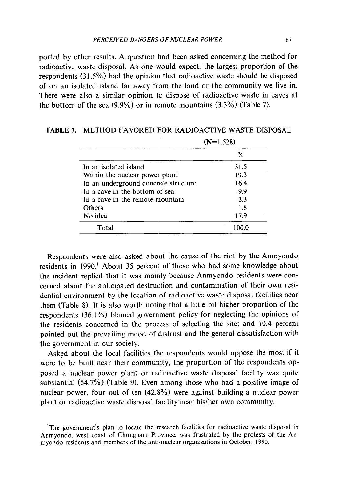ported by other results. A question had been asked concerning the method for radioactive waste disposal. As one would expect, the largest proportion of the respondents (31.5%) had the opinion that radioactive waste should be disposed of on an isolated island far away from the land or the community we live in. There were also a similar opinion to dispose of radioactive waste in caves at the bottom of the sea (9.9%) or in remote mountains (3.3%) (Table 7).

|                                      | $(N=1.528)$ |
|--------------------------------------|-------------|
|                                      | %           |
| In an isolated island                | 31.5        |
| Within the nuclear power plant       | 19.3        |
| In an underground concrete structure | 16.4        |
| In a cave in the bottom of sea       | 9.9         |
| In a cave in the remote mountain     | 3.3         |
| Others                               | 1.8         |
| No idea                              | 17.9        |
| Total                                |             |
|                                      |             |

**TABLE** 7. METHOD FAVORED FOR RADIOACTIVE WASTE DISPOSAL

Respondents were also asked about the cause of the riot by the Anmyondo residents in 1990.<sup>1</sup> About 35 percent of those who had some knowledge about the incident replied that it was mainly because Anmyondo residents were concerned about the anticipated destruction and contamination of their own residential environment by the location of radioactive waste disposal facilities near them (Table 8). It is also worth noting that a little bit higher proportion of the respondents (36.1 %) blamed government policy for neglecting the opinions of the residents concerned in the process of selecting the site; and 10.4 percent pointed out the prevailing mood of distrust and the general dissatisfaction with the government in our society.

Asked about the local facilities the respondents would oppose the most if it were to be built near their community, the proportion of the respondents opposed a nuclear power plant or radioactive waste disposal facility was quite substantial (54.7%) (Table 9). Even among those who had a positive image of nuclear power, four out of ten (42.8%) were against building a nuclear power plant or radioactive waste disposal facility' near his/her own community.

<sup>&</sup>lt;sup>1</sup>The government's plan to locate the research facilities for radioactive waste disposal in Anmyondo. west coast of Chungnam Province. was frustrated by the protests of the Anmyondo residents and members of the anti·nuclear organizations in October, 1990.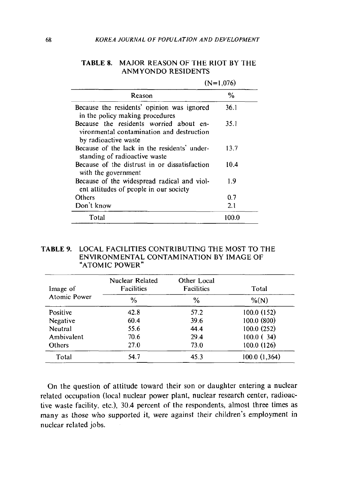|                                                                                                              | $(N=1.076)$ |
|--------------------------------------------------------------------------------------------------------------|-------------|
| Reason                                                                                                       | %           |
| Because the residents' opinion was ignored<br>in the policy making procedures                                | 36.1        |
| Because the residents worried about en-<br>vironmental contamination and destruction<br>by radioactive waste | 35.1        |
| Because of the lack in the residents' under-<br>standing of radioactive waste                                | 13.7        |
| Because of the distrust in or dissatisfaction<br>with the government                                         | 10.4        |
| Because of the widespread radical and viol-<br>ent attitudes of people in our society                        | 1.9         |
| Others                                                                                                       | 0.7         |
| Don't know                                                                                                   | 2.1         |
| Total                                                                                                        | 100.0       |

### TABLE 8. MAJOR REASON OF THE RIOT BY THE ANMYONDO RESIDENTS

#### TABLE 9. LOCAL FACILITIES CONTRIBUTING THE MOST TO THE ENVIRONMENTAL CONTAMINATION BY IMAGE OF "ATOMIC POWER"

| Image of      | Nuclear Related<br>Facilities | Other Local<br>Facilities | Total        |
|---------------|-------------------------------|---------------------------|--------------|
| Atomic Power  | $\frac{0}{0}$                 | %                         | $\%(N)$      |
| Positive      | 42.8                          | 57.2                      | 100.0(152)   |
| Negative      | 60.4                          | 39.6                      | 100.0 (800)  |
| Neutral       | 55.6                          | 44.4                      | 100.0(252)   |
| Ambivalent    | 70.6                          | 29.4                      | $100.0$ (34) |
| <b>Others</b> | 27.0                          | 73.0                      | 100.0(126)   |
| Total         | 54.7                          | 45.3                      | 100.0(1,364) |

On the question of attitude toward their son or daughter entering a nuclear related occupation (local nuclear power plant, nuclear research center, radioactive waste facility, etc.), 30.4 percent of the respondents, almost three times as many as those who supported it, were against their children's employment in nuclear related jobs.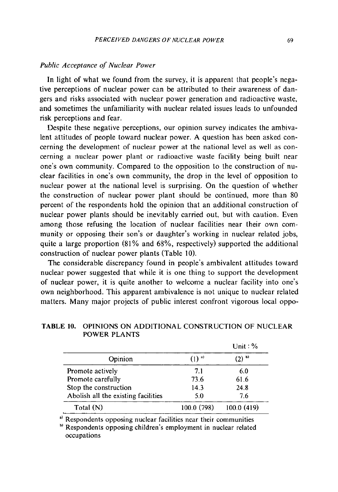### *Public Acceptance of Nuclear Power*

**In** light of what we found from the survey, it is apparent that people's negative perceptions of nuclear power can be attributed to their awareness of dangers and risks associated with nuclear power generation and radioactive waste, and sometimes the unfamiliarity with nuclear related issues leads to unfounded risk perceptions and fear.

Despite these negative perceptions, our opinion survey indicates the ambivalent attitudes of people toward nuclear power. A question has been asked concerning the development of nuclear power at the national level as well as concerning a nuclear power plant or radioactive waste facility being built near one's own community. Compared to the opposition to the construction of nuclear facilities in one's own community, the drop in the level of opposition to nuclear power at the national level is surprising. On the question of whether the construction of nuclear power plant should be continued, more than 80 percent of the respondents hold the opinion that an additional construction of nuclear power plants should be inevitably carried out, but with caution. Even among those refusing the location of nuclear facilities near their own community or opposing their son's or daughter's working in nuclear related jobs, quite a large proportion  $(81\%$  and  $68\%$ , respectively) supported the additional construction of nuclear power plants (Table 10).

The considerable discrepancy found in people's ambivalent attitudes toward nuclear power suggested that while it is one thing to support the development of nuclear power, it is quite another to welcome a nuclear facility into one's own neighborhood. This apparent ambivalence is not unique to nuclear related matters. Many major projects of public interest confront vigorous local oppo-

## **TABLE 10.** OPINIONS ON ADDITIONAL CONSTRUCTION OF NUCLEAR POWER PLANTS

 $\cdots$ 

|                                     |                     | $Unit: \%$ |
|-------------------------------------|---------------------|------------|
| Opinion                             | $(1)$ <sup>a)</sup> | $(2)^{6}$  |
| Promote actively                    | 7.1                 | 6.0        |
| Promote carefully                   | 73.6                | 61.6       |
| Stop the construction               | 14.3                | 24.8       |
| Abolish all the existing facilities | 5.0                 | 7.6        |
| Total $(N)$                         | 100.0 (798)         | 100.0(419) |

<sup>a)</sup> Respondents opposing nuclear facilities near their communities

b) Respondents opposing children's employment in nuclear related occupations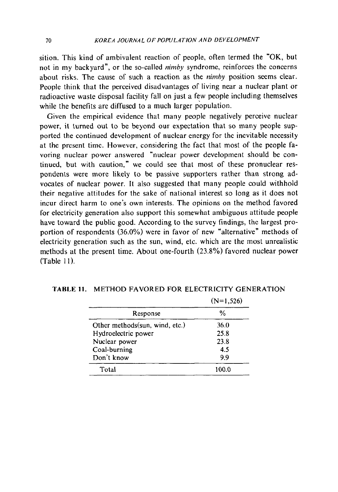sition. This kind of ambivalent reaction of people, often termed the "OK, but not in my backyard", or the so-called *nimby* syndrome, reinforces the concerns about risks. The cause of such a reaction as the *nimby* position seems clear. People think that the perceived disadvantages of living near a nuclear plant or radioactive waste disposal facility fall on just a few people including themselves while the benefits are diffused to a much larger population.

Given the empirical evidence that many people negatively perceive nuclear power, it turned out to be beyond our expectation that so many people supported the continued development of nuclear energy for the inevitable necessity at the present time. However, considering the fact that most of the people favoring nuclear power answered "nuclear power development should be continued, but with caution," we could see that most of these pronuclear respondents were more likely to be passive supporters rather than strong advocates of nuclear power. It also suggested that many people could withhold their negative attitudes for the sake of national interest so long as it does not incur direct harm to one's own interests. The opinions on the method favored for electricity generation also support this somewhat ambiguous attitude people have toward the public good. According to the survey findings, the largest proportion of respondents (36.0%) were in favor of new "alternative" methods of electricity generation such as the sun, wind, etc. which are the most unrealistic methods at the present time. About one-fourth (23.8%) favored nuclear power  $(Table 11)$ .

|                                 | $(N=1,526)$ |
|---------------------------------|-------------|
| Response                        | %           |
| Other methods (sun, wind, etc.) | 36.0        |
| Hydroelectric power             | 25.8        |
| Nuclear power                   | 23.8        |
| Coal-burning                    | 4.5         |
| Don't know                      | 9.9         |
| Total                           | 100.0       |

**TABLE 11.** METHOD FAVORED FOR ELECTRICITY GENERATION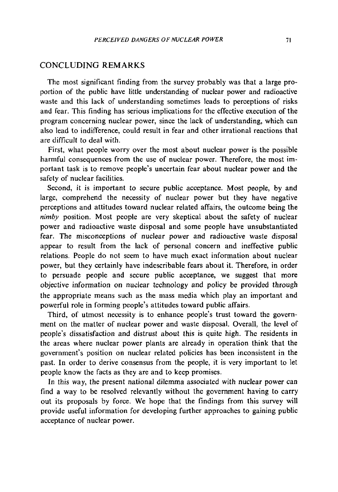### CONCLUDING REMARKS

The most significant finding from the survey probably was that a large proportion of the public have little understanding of nuclear power and radioactive waste and this lack of understanding sometimes leads to perceptions of risks and fear. This finding has serious implications for the effective execution of the program concerning nuclear power, since the lack of understanding, which can also lead to indifference, could result in fear and other irrational reactions that are difficult to deal with.

First, what people worry over the most about nuclear power is the possible harmful consequences from the use of nuclear power. Therefore, the most important task is to remove people's uncertain fear about nuclear power and the safety of nuclear facilities.

Second, it is important to secure public acceptance. Most people, by and large, comprehend the necessity of nuclear power but they have negative perceptions and attitudes toward nuclear related affairs, the outcome being the *nimby* position. Most people are very skeptical about the safety of nuclear power and radioactive waste disposal and some people have unsubstantiated fear. The misconceptions of nuclear power and radioactive waste disposal appear to result from the lack of personal concern and ineffective public relations. People do not seem to have much exact infonnation about nuclear power, but they certainly have indescribable fears about it. Therefore, in order to persuade people and secure public acceptance, we suggest that more objective infonnation on nuclear technology and policy be provided through the appropriate means such as the mass media which play an important and powerful role in forming people's attitudes toward public affairs.

Third, of utmost necessity is to enhance people's trust toward the government on the matter of nuclear power and waste disposal. Overall, the level of people's dissatisfaction and distrust about this is quite high. The residents in the areas where nuclear power plants are already in operation think that the government's position on nuclear related policies has been inconsistent in the past. In order to derive consensus from the people, it is very important to let people know the facts as they are and to keep promises.

In this way, the present national dilemma associated with nuclear power can find a way to be resolved relevantly without the government having to carry out its proposals by force. We hope that the findings from this survey will provide useful information for developing further approaches to gaining public acceptance of nuclear power.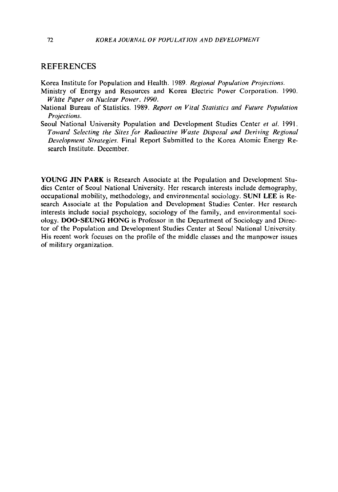#### **REFERENCES**

Korea Institute for Population and Health. 1989. *Regional Population Projections.* 

- Ministry of Energy and Resources and Korea Electric Power Corporation. 1990. *White Paper on Nuclear Power. 1990.*
- National Bureau of Statistics. 1989. *Report on Vital Statistics and Future Population Projections.*
- Seoul National University Population and Development Studies Center *et al.* 1991. *Toward Selecting the Sites for Radioactive Waste Disposal and Deriving Regional Development Strategies.* Final Report Submitted to the Korea Atomic Energy Research Institute. December.

**YOUNG JIN PARK** is Research Associate at the Population and Development Studies Center of Seoul National University. Her research interests include demography. occupational mobility, methodology, and environmental sociology. **SUNI LEE** is Research Associate at the Population and Development Studies Center. Her research interests include social psychology, sociology of the family, and environmental sociology. **DOO-SEUNG HONG** is Professor in the Department of Sociology and Director of the Population and Development Studies Center at Seoul National University. His recent work focuses on the profile of the middle classes and the manpower issues of military organization.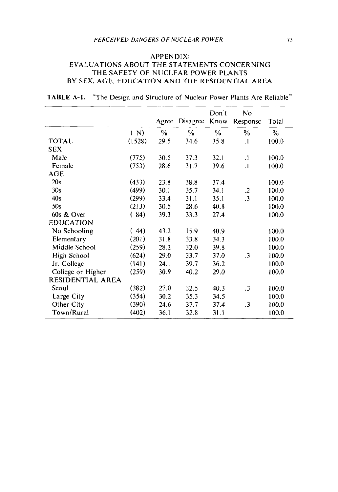#### APPENDIX: EVALUATIONS ABOUT THE STATEMENTS CONCERNING THE SAFETY OF NUCLEAR POWER PLANTS BY SEX, AGE, EDUCATION AND THE RESIDENTIAL AREA

|  |  |  |  | <b>TABLE A-1.</b> "The Design and Structure of Nuclear Power Plants Are Reliable" |  |
|--|--|--|--|-----------------------------------------------------------------------------------|--|
|--|--|--|--|-----------------------------------------------------------------------------------|--|

|                   |        |               |          | Don't         | No            |               |
|-------------------|--------|---------------|----------|---------------|---------------|---------------|
|                   |        | Agree         | Disagree | Know          | Response      | Total         |
|                   | (N)    | $\frac{0}{0}$ | $\%$     | $\frac{0}{0}$ | $\frac{0}{0}$ | $\frac{0}{0}$ |
| <b>TOTAL</b>      | (1528) | 29.5          | 34.6     | 35.8          | $\cdot$       | 100.0         |
| <b>SEX</b>        |        |               |          |               |               |               |
| Male              | (775)  | 30.5          | 37.3     | 32.1          | $\cdot$       | 100.0         |
| Female            | (753)  | 28.6          | 31.7     | 39.6          | $\cdot$ 1     | 100.0         |
| <b>AGE</b>        |        |               |          |               |               |               |
| 20s               | (433)  | 23.8          | 38.8     | 37.4          |               | 100.0         |
| 30s               | (499)  | 30.1          | 35.7     | 34.1          | $\cdot$       | 100.0         |
| 40s               | (299)  | 33.4          | 31.1     | 35.1          | $\cdot$ 3     | 100.0         |
| 50s               | (213)  | 30.5          | 28.6     | 40.8          |               | 100.0         |
| 60s & Over        | (84)   | 39.3          | 33.3     | 27.4          |               | 100.0         |
| <b>EDUCATION</b>  |        |               |          |               |               |               |
| No Schooling      | (44)   | 43.2          | 15.9     | 40.9          |               | 100.0         |
| Elementary        | (201)  | 31.8          | 33.8     | 34.3          |               | 100.0         |
| Middle School     | (259)  | 28.2          | 32.0     | 39.8          |               | 100.0         |
| High School       | (624)  | 29.0          | 33.7     | 37.0          | $\cdot$ 3     | 100.0         |
| Jr. College       | (141)  | 24.1          | 39.7     | 36.2          |               | 100.0         |
| College or Higher | (259)  | 30.9          | 40.2     | 29.0          |               | 100.0         |
| RESIDENTIAL AREA  |        |               |          |               |               |               |
| Seoul             | (382)  | 27.0          | 32.5     | 40.3          | $\cdot$ 3     | 100.0         |
| Large City        | (354)  | 30.2          | 35.3     | 34.5          |               | 100.0         |
| Other City        | (390)  | 24.6          | 37.7     | 37.4          | $\cdot$ 3     | 100.0         |
| Town/Rural        | (402)  | 36.1          | 32.8     | 31.1          |               | 100.0         |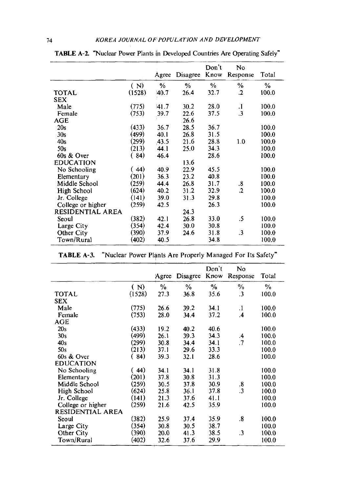|                   |        | Agree | Disagree | Don't<br>Know | No<br>Response    | Total |
|-------------------|--------|-------|----------|---------------|-------------------|-------|
|                   | (N)    | %     | %        | ℅             | %                 | %     |
| TOTAL             | (1528) | 40.7  | 26.4     | 32.7          | $\cdot$           | 100.0 |
| <b>SEX</b>        |        |       |          |               |                   |       |
| Male              | (775)  | 41.7  | 30.2     | 28.0          | $\cdot$           | 100.0 |
| Female            | (753)  | 39.7  | 22.6     | 37.5          | $\overline{3}$    | 100.0 |
| AGE               |        |       | 26.6     |               |                   |       |
| 20s               | (433)  | 36.7  | 28.5     | 36.7          |                   | 100.0 |
| 30 <sub>s</sub>   | (499)  | 40.1  | 26.8     | 31.5          |                   | 100.0 |
| 40s               | (299)  | 43.5  | 21.6     | 28.8          | 1.0               | 100.0 |
| 50s               | (213)  | 44.1  | 25.0     | 34.3          |                   | 100.0 |
| 60s & Over        | (84)   | 46.4  |          | 28.6          |                   | 100.0 |
| <b>EDUCATION</b>  |        |       | 13.6     |               |                   |       |
| No Schooling      | (44)   | 40.9  | 22.9     | 45.5          |                   | 100.0 |
| Elementary        | (201)  | 36.3  | 23.2     | 40.8          |                   | 100.0 |
| Middle School     | (259)  | 44.4  | 26.8     | 31.7          | $\boldsymbol{.8}$ | 100.0 |
| High School       | (624)  | 40.2  | 31.2     | 32.9          | $\overline{2}$    | 100.0 |
| Jr. College       | (141)  | 39.0  | 31.3     | 29.8          |                   | 100.0 |
| College or higher | (259)  | 42.5  |          | 26.3          |                   | 100.0 |
| RESIDENTIAL AREA  |        |       | 24.3     |               |                   |       |
| Seoul             | (382)  | 42.1  | 26.8     | 33.0          | .5                | 100.0 |
| Large City        | (354)  | 42.4  | 30.0     | 30.8          |                   | 100.0 |
| Other City        | (390)  | 37.9  | 24.6     | 31.8          | $\cdot$ 3         | 100.0 |
| Town/Rural        | (402)  | 40.5  |          | 34.8          |                   | 100.0 |

**TABLE A-2.** "Nuclear Power Plants in Developed Countries Are Operating Safely"

|                   |        |       |          | Don't | No                   |       |
|-------------------|--------|-------|----------|-------|----------------------|-------|
|                   |        | Agree | Disagree | Know  | Response             | Total |
|                   | (N)    | %     | %        | %     | %                    | $\%$  |
| TOTAL             | (1528) | 27.3  | 36.8     | 35.6  | .3                   | 100.0 |
| <b>SEX</b>        |        |       |          |       |                      |       |
| Male              | (775)  | 26.6  | 39.2     | 34.1  | $\cdot$              | 100.0 |
| Female            | (753)  | 28.0  | 34.4     | 37.2  | $\cdot$              | 100.0 |
| $\mathbf{AGE}$    |        |       |          |       |                      |       |
| 20s               | (433)  | 19.2  | 40.2     | 40.6  |                      | 100.0 |
| 30 <sub>s</sub>   | (499)  | 26.1  | 39.3     | 34.3  | .4                   | 100.0 |
| 40s               | (299)  | 30.8  | 34.4     | 34.1  | $\cdot$              | 100.0 |
| 50s               | (213)  | 37.1  | 29.6     | 33.3  |                      | 100.0 |
| 60s & Over        | (84)   | 39.3  | 32.1     | 28.6  |                      | 100.0 |
| <b>EDUCATION</b>  |        |       |          |       |                      |       |
| No Schooling      | (44)   | 34.1  | 34.1     | 31.8  |                      | 100.0 |
| Elementary        | (201)  | 37.8  | 30.8     | 31.3  |                      | 100.0 |
| Middle School     | (259)  | 30.5  | 37.8     | 30.9  | $\boldsymbol{.8}$    | 100.0 |
| High School       | (624)  | 25.8  | 36.1     | 37.8  | $\overline{3}$       | 100.0 |
| Jr. College       | (141)  | 21.3  | 37.6     | 41.1  |                      | 100.0 |
| College or higher | (259)  | 21.6  | 42.5     | 35.9  |                      | 100.0 |
| RESIDENTIAL AREA  |        |       |          |       |                      |       |
| Seoul             | (382)  | 25.9  | 37.4     | 35.9  | $\boldsymbol{.8}$    | 100.0 |
| Large City        | (354)  | 30.8  | 30.5     | 38.7  |                      | 100.0 |
| Other City        | (390)  | 20.0  | 41.3     | 38.5  | $\cdot$ <sub>3</sub> | 100.0 |
| Town/Rural        | (402)  | 32.6  | 37.6     | 29.9  |                      | 100.0 |

**TABLE A-3.** "Nuclear Power Plants Are Properly Managed For Its Safety"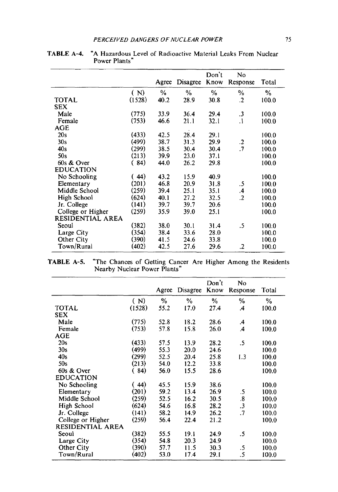|                   |        |               |               | Don't         | N <sub>0</sub> |       |
|-------------------|--------|---------------|---------------|---------------|----------------|-------|
|                   |        | Agree         | Disagree      | Know          | Response       | Total |
|                   | (N)    | $\frac{0}{6}$ | $\frac{0}{2}$ | $\frac{0}{0}$ | $\%$           | $\%$  |
| <b>TOTAL</b>      | (1528) | 40.2          | 28.9          | 30.8          | $\cdot$        | 100.0 |
| <b>SEX</b>        |        |               |               |               |                |       |
| Male              | (775)  | 33.9          | 36.4          | 29.4          | $\cdot$ 3      | 100.0 |
| Female            | (753)  | 46.6          | 21.1          | 32.1          | $\cdot$        | 100.0 |
| AGE               |        |               |               |               |                |       |
| 20s               | (433)  | 42.5          | 28.4          | 29.1          |                | 100.0 |
| 30s               | (499)  | 38.7          | 31.3          | 29.9          | $\cdot$        | 100.0 |
| 40s               | (299)  | 38.5          | 30.4          | 30.4          | $\cdot$        | 100.0 |
| 50s               | (213)  | 39.9          | 23.0          | 37.1          |                | 100.0 |
| 60s & Over        | (84)   | 44.0          | 26.2          | 29.8          |                | 100.0 |
| <b>EDUCATION</b>  |        |               |               |               |                |       |
| No Schooling      | (44)   | 43.2          | 15.9          | 40.9          |                | 100.0 |
| Elementary        | (201)  | 46.8          | 20.9          | 31.8          | .5             | 100.0 |
| Middle School     | (259)  | 39.4          | 25.1          | 35.1          | $\mathbf{.4}$  | 100.0 |
| High School       | (624)  | 40.1          | 27.2          | 32.5          | $\overline{2}$ | 100.0 |
| Jr. College       | (141)  | 39.7          | 39.7          | 20.6          |                | 100.0 |
| College or Higher | (259)  | 35.9          | 39.0          | 25.1          |                | 100.0 |
| RESIDENTIAL AREA  |        |               |               |               |                |       |
| Seoul             | (382)  | 38.0          | 30.1          | 31.4          | .5             | 100.0 |
| Large City        | (354)  | 38.4          | 33.6          | 28.0          |                | 100.0 |
| Other City        | (390)  | 41.5          | 24.6          | 33.8          |                | 100.0 |
| Town/Rural        | (402)  | 42.5          | 27.6          | 29.6          | .2             | 100.0 |

**TABLE** A-4. "A Hazardous Level of Radioactive Material Leaks From Nuclear Power Plants"

**TABLE** A-S. "The Chances of Getting Cancer Are Higher Among the Residents Nearby Nuclear Power Plants"

|                   |        |       |          | Don't | No                   |               |
|-------------------|--------|-------|----------|-------|----------------------|---------------|
|                   |        | Agree | Disagree | Know  | Response             | Total         |
|                   | (N)    | $\%$  | ℅        | $\%$  | %                    | $\frac{9}{6}$ |
| <b>TOTAL</b>      | (1528) | 55.2  | 17.0     | 27.4  | .4                   | 100.0         |
| SEX               |        |       |          |       |                      |               |
| Male              | (775)  | 52.8  | 18.2     | 28.6  | .4                   | 100.0         |
| Female            | (753)  | 57.8  | 15.8     | 26.0  | .4                   | 100.0         |
| <b>AGE</b>        |        |       |          |       |                      |               |
| 20s               | (433)  | 57.5  | 13.9     | 28.2  | .5                   | 100.0         |
| 30s               | (499)  | 55.3  | 20.0     | 24.6  |                      | 100.0         |
| 40s               | (299)  | 52.5  | 20.4     | 25.8  | 1.3                  | 100.0         |
| 50s               | (213)  | 54.0  | 12.2     | 33.8  |                      | 100.0         |
| 60s & Over        | (84)   | 56.0  | 15.5     | 28.6  |                      | 100.0         |
| <b>EDUCATION</b>  |        |       |          |       |                      |               |
| No Schooling      | (44)   | 45.5  | 15.9     | 38.6  |                      | 100.0         |
| Elementary        | (201)  | 59.2  | 13.4     | 26.9  | .5                   | 100.0         |
| Middle School     | (259)  | 52.5  | 16.2     | 30.5  | $\boldsymbol{.8}$    | 100.0         |
| High School       | (624)  | 54.6  | 16.8     | 28.2  | $\cdot$ <sub>3</sub> | 100.0         |
| Jr. College       | (141)  | 58.2  | 14.9     | 26.2  | .7                   | 100.0         |
| College or Higher | (259)  | 56.4  | 22.4     | 21.2  |                      | 100.0         |
| RESIDENTIAL AREA  |        |       |          |       |                      |               |
| Seoul             | (382)  | 55.5  | 19.1     | 24.9  | .5                   | 100.0         |
| Large City        | (354)  | 54.8  | 20.3     | 24.9  |                      | 100.0         |
| Other City        | (390)  | 57.7  | 11.5     | 30.3  | .5                   | 100.0         |
| Town/Rural        | (402)  | 53.0  | 17.4     | 29.1  | .5                   | 100.0         |